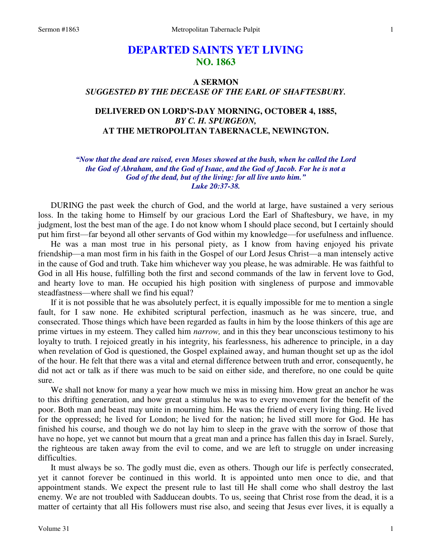# **DEPARTED SAINTS YET LIVING NO. 1863**

# **A SERMON**  *SUGGESTED BY THE DECEASE OF THE EARL OF SHAFTESBURY.*

## **DELIVERED ON LORD'S-DAY MORNING, OCTOBER 4, 1885,**  *BY C. H. SPURGEON,*  **AT THE METROPOLITAN TABERNACLE, NEWINGTON.**

#### *"Now that the dead are raised, even Moses showed at the bush, when he called the Lord the God of Abraham, and the God of Isaac, and the God of Jacob. For he is not a God of the dead, but of the living: for all live unto him." Luke 20:37-38.*

DURING the past week the church of God, and the world at large, have sustained a very serious loss. In the taking home to Himself by our gracious Lord the Earl of Shaftesbury, we have, in my judgment, lost the best man of the age. I do not know whom I should place second, but I certainly should put him first—far beyond all other servants of God within my knowledge—for usefulness and influence.

 He was a man most true in his personal piety, as I know from having enjoyed his private friendship—a man most firm in his faith in the Gospel of our Lord Jesus Christ—a man intensely active in the cause of God and truth. Take him whichever way you please, he was admirable. He was faithful to God in all His house, fulfilling both the first and second commands of the law in fervent love to God, and hearty love to man. He occupied his high position with singleness of purpose and immovable steadfastness—where shall we find his equal?

 If it is not possible that he was absolutely perfect, it is equally impossible for me to mention a single fault, for I saw none. He exhibited scriptural perfection, inasmuch as he was sincere, true, and consecrated. Those things which have been regarded as faults in him by the loose thinkers of this age are prime virtues in my esteem. They called him *narrow,* and in this they bear unconscious testimony to his loyalty to truth. I rejoiced greatly in his integrity, his fearlessness, his adherence to principle, in a day when revelation of God is questioned, the Gospel explained away, and human thought set up as the idol of the hour. He felt that there was a vital and eternal difference between truth and error, consequently, he did not act or talk as if there was much to be said on either side, and therefore, no one could be quite sure.

We shall not know for many a year how much we miss in missing him. How great an anchor he was to this drifting generation, and how great a stimulus he was to every movement for the benefit of the poor. Both man and beast may unite in mourning him. He was the friend of every living thing. He lived for the oppressed; he lived for London; he lived for the nation; he lived still more for God. He has finished his course, and though we do not lay him to sleep in the grave with the sorrow of those that have no hope, yet we cannot but mourn that a great man and a prince has fallen this day in Israel. Surely, the righteous are taken away from the evil to come, and we are left to struggle on under increasing difficulties.

 It must always be so. The godly must die, even as others. Though our life is perfectly consecrated, yet it cannot forever be continued in this world. It is appointed unto men once to die, and that appointment stands. We expect the present rule to last till He shall come who shall destroy the last enemy. We are not troubled with Sadducean doubts. To us, seeing that Christ rose from the dead, it is a matter of certainty that all His followers must rise also, and seeing that Jesus ever lives, it is equally a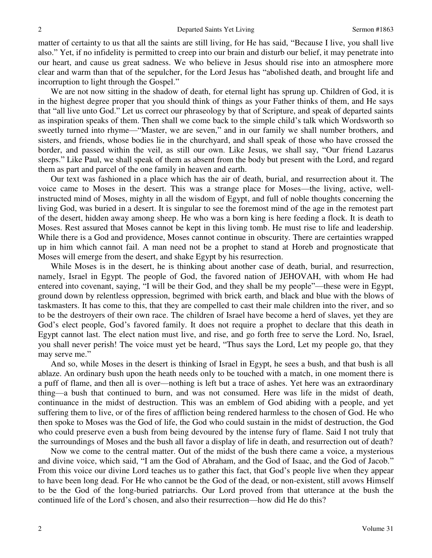matter of certainty to us that all the saints are still living, for He has said, "Because I live, you shall live also." Yet, if no infidelity is permitted to creep into our brain and disturb our belief, it may penetrate into our heart, and cause us great sadness. We who believe in Jesus should rise into an atmosphere more clear and warm than that of the sepulcher, for the Lord Jesus has "abolished death, and brought life and incorruption to light through the Gospel."

We are not now sitting in the shadow of death, for eternal light has sprung up. Children of God, it is in the highest degree proper that you should think of things as your Father thinks of them, and He says that "all live unto God." Let us correct our phraseology by that of Scripture, and speak of departed saints as inspiration speaks of them. Then shall we come back to the simple child's talk which Wordsworth so sweetly turned into rhyme—"Master, we are seven," and in our family we shall number brothers, and sisters, and friends, whose bodies lie in the churchyard, and shall speak of those who have crossed the border, and passed within the veil, as still our own. Like Jesus, we shall say, "Our friend Lazarus sleeps." Like Paul, we shall speak of them as absent from the body but present with the Lord, and regard them as part and parcel of the one family in heaven and earth.

 Our text was fashioned in a place which has the air of death, burial, and resurrection about it. The voice came to Moses in the desert. This was a strange place for Moses—the living, active, wellinstructed mind of Moses, mighty in all the wisdom of Egypt, and full of noble thoughts concerning the living God, was buried in a desert. It is singular to see the foremost mind of the age in the remotest part of the desert, hidden away among sheep. He who was a born king is here feeding a flock. It is death to Moses. Rest assured that Moses cannot be kept in this living tomb. He must rise to life and leadership. While there is a God and providence, Moses cannot continue in obscurity. There are certainties wrapped up in him which cannot fail. A man need not be a prophet to stand at Horeb and prognosticate that Moses will emerge from the desert, and shake Egypt by his resurrection.

 While Moses is in the desert, he is thinking about another case of death, burial, and resurrection, namely, Israel in Egypt. The people of God, the favored nation of JEHOVAH, with whom He had entered into covenant, saying, "I will be their God, and they shall be my people"—these were in Egypt, ground down by relentless oppression, begrimed with brick earth, and black and blue with the blows of taskmasters. It has come to this, that they are compelled to cast their male children into the river, and so to be the destroyers of their own race. The children of Israel have become a herd of slaves, yet they are God's elect people, God's favored family. It does not require a prophet to declare that this death in Egypt cannot last. The elect nation must live, and rise, and go forth free to serve the Lord. No, Israel, you shall never perish! The voice must yet be heard, "Thus says the Lord, Let my people go, that they may serve me."

 And so, while Moses in the desert is thinking of Israel in Egypt, he sees a bush, and that bush is all ablaze. An ordinary bush upon the heath needs only to be touched with a match, in one moment there is a puff of flame, and then all is over—nothing is left but a trace of ashes. Yet here was an extraordinary thing—a bush that continued to burn, and was not consumed. Here was life in the midst of death, continuance in the midst of destruction. This was an emblem of God abiding with a people, and yet suffering them to live, or of the fires of affliction being rendered harmless to the chosen of God. He who then spoke to Moses was the God of life, the God who could sustain in the midst of destruction, the God who could preserve even a bush from being devoured by the intense fury of flame. Said I not truly that the surroundings of Moses and the bush all favor a display of life in death, and resurrection out of death?

 Now we come to the central matter. Out of the midst of the bush there came a voice, a mysterious and divine voice, which said, "I am the God of Abraham, and the God of Isaac, and the God of Jacob." From this voice our divine Lord teaches us to gather this fact, that God's people live when they appear to have been long dead. For He who cannot be the God of the dead, or non-existent, still avows Himself to be the God of the long-buried patriarchs. Our Lord proved from that utterance at the bush the continued life of the Lord's chosen, and also their resurrection—how did He do this?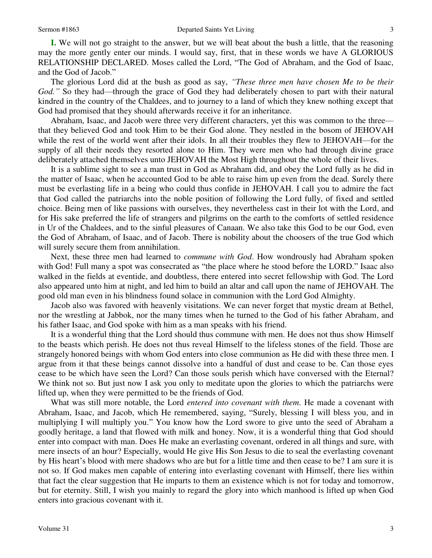**I.** We will not go straight to the answer, but we will beat about the bush a little, that the reasoning may the more gently enter our minds. I would say, first, that in these words we have A GLORIOUS RELATIONSHIP DECLARED. Moses called the Lord, "The God of Abraham, and the God of Isaac, and the God of Jacob."

 The glorious Lord did at the bush as good as say, *"These three men have chosen Me to be their God."* So they had—through the grace of God they had deliberately chosen to part with their natural kindred in the country of the Chaldees, and to journey to a land of which they knew nothing except that God had promised that they should afterwards receive it for an inheritance.

 Abraham, Isaac, and Jacob were three very different characters, yet this was common to the three that they believed God and took Him to be their God alone. They nestled in the bosom of JEHOVAH while the rest of the world went after their idols. In all their troubles they flew to JEHOVAH—for the supply of all their needs they resorted alone to Him. They were men who had through divine grace deliberately attached themselves unto JEHOVAH the Most High throughout the whole of their lives.

 It is a sublime sight to see a man trust in God as Abraham did, and obey the Lord fully as he did in the matter of Isaac, when he accounted God to be able to raise him up even from the dead. Surely there must be everlasting life in a being who could thus confide in JEHOVAH. I call you to admire the fact that God called the patriarchs into the noble position of following the Lord fully, of fixed and settled choice. Being men of like passions with ourselves, they nevertheless cast in their lot with the Lord, and for His sake preferred the life of strangers and pilgrims on the earth to the comforts of settled residence in Ur of the Chaldees, and to the sinful pleasures of Canaan. We also take this God to be our God, even the God of Abraham, of Isaac, and of Jacob. There is nobility about the choosers of the true God which will surely secure them from annihilation.

 Next, these three men had learned to *commune with God*. How wondrously had Abraham spoken with God! Full many a spot was consecrated as "the place where he stood before the LORD." Isaac also walked in the fields at eventide, and doubtless, there entered into secret fellowship with God. The Lord also appeared unto him at night, and led him to build an altar and call upon the name of JEHOVAH. The good old man even in his blindness found solace in communion with the Lord God Almighty.

 Jacob also was favored with heavenly visitations. We can never forget that mystic dream at Bethel, nor the wrestling at Jabbok, nor the many times when he turned to the God of his father Abraham, and his father Isaac, and God spoke with him as a man speaks with his friend.

 It is a wonderful thing that the Lord should thus commune with men. He does not thus show Himself to the beasts which perish. He does not thus reveal Himself to the lifeless stones of the field. Those are strangely honored beings with whom God enters into close communion as He did with these three men. I argue from it that these beings cannot dissolve into a handful of dust and cease to be. Can those eyes cease to be which have seen the Lord? Can those souls perish which have conversed with the Eternal? We think not so. But just now I ask you only to meditate upon the glories to which the patriarchs were lifted up, when they were permitted to be the friends of God.

 What was still more notable, the Lord *entered into covenant with them*. He made a covenant with Abraham, Isaac, and Jacob, which He remembered, saying, "Surely, blessing I will bless you, and in multiplying I will multiply you." You know how the Lord swore to give unto the seed of Abraham a goodly heritage, a land that flowed with milk and honey. Now, it is a wonderful thing that God should enter into compact with man. Does He make an everlasting covenant, ordered in all things and sure, with mere insects of an hour? Especially, would He give His Son Jesus to die to seal the everlasting covenant by His heart's blood with mere shadows who are but for a little time and then cease to be? I am sure it is not so. If God makes men capable of entering into everlasting covenant with Himself, there lies within that fact the clear suggestion that He imparts to them an existence which is not for today and tomorrow, but for eternity. Still, I wish you mainly to regard the glory into which manhood is lifted up when God enters into gracious covenant with it.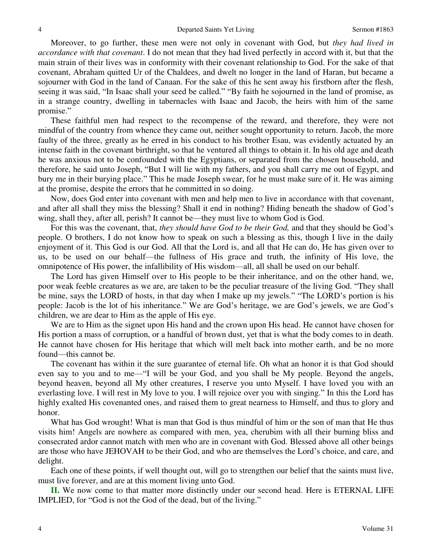Moreover, to go further, these men were not only in covenant with God, but *they had lived in accordance with that covenant*. I do not mean that they had lived perfectly in accord with it, but that the main strain of their lives was in conformity with their covenant relationship to God. For the sake of that covenant, Abraham quitted Ur of the Chaldees, and dwelt no longer in the land of Haran, but became a sojourner with God in the land of Canaan. For the sake of this he sent away his firstborn after the flesh, seeing it was said, "In Isaac shall your seed be called." "By faith he sojourned in the land of promise, as in a strange country, dwelling in tabernacles with Isaac and Jacob, the heirs with him of the same promise."

 These faithful men had respect to the recompense of the reward, and therefore, they were not mindful of the country from whence they came out, neither sought opportunity to return. Jacob, the more faulty of the three, greatly as he erred in his conduct to his brother Esau, was evidently actuated by an intense faith in the covenant birthright, so that he ventured all things to obtain it. In his old age and death he was anxious not to be confounded with the Egyptians, or separated from the chosen household, and therefore, he said unto Joseph, "But I will lie with my fathers, and you shall carry me out of Egypt, and bury me in their burying place." This he made Joseph swear, for he must make sure of it. He was aiming at the promise, despite the errors that he committed in so doing.

 Now, does God enter into covenant with men and help men to live in accordance with that covenant, and after all shall they miss the blessing? Shall it end in nothing? Hiding beneath the shadow of God's wing, shall they, after all, perish? It cannot be—they must live to whom God is God.

 For this was the covenant, that, *they should have God to be their God,* and that they should be God's people. O brothers, I do not know how to speak on such a blessing as this, though I live in the daily enjoyment of it. This God is our God. All that the Lord is, and all that He can do, He has given over to us, to be used on our behalf—the fullness of His grace and truth, the infinity of His love, the omnipotence of His power, the infallibility of His wisdom—all, all shall be used on our behalf.

 The Lord has given Himself over to His people to be their inheritance, and on the other hand, we, poor weak feeble creatures as we are, are taken to be the peculiar treasure of the living God. "They shall be mine, says the LORD of hosts, in that day when I make up my jewels." "The LORD's portion is his people: Jacob is the lot of his inheritance." We are God's heritage, we are God's jewels, we are God's children, we are dear to Him as the apple of His eye.

 We are to Him as the signet upon His hand and the crown upon His head. He cannot have chosen for His portion a mass of corruption, or a handful of brown dust, yet that is what the body comes to in death. He cannot have chosen for His heritage that which will melt back into mother earth, and be no more found—this cannot be.

 The covenant has within it the sure guarantee of eternal life. Oh what an honor it is that God should even say to you and to me—"I will be your God, and you shall be My people. Beyond the angels, beyond heaven, beyond all My other creatures, I reserve you unto Myself. I have loved you with an everlasting love. I will rest in My love to you. I will rejoice over you with singing." In this the Lord has highly exalted His covenanted ones, and raised them to great nearness to Himself, and thus to glory and honor.

 What has God wrought! What is man that God is thus mindful of him or the son of man that He thus visits him! Angels are nowhere as compared with men, yea, cherubim with all their burning bliss and consecrated ardor cannot match with men who are in covenant with God. Blessed above all other beings are those who have JEHOVAH to be their God, and who are themselves the Lord's choice, and care, and delight.

 Each one of these points, if well thought out, will go to strengthen our belief that the saints must live, must live forever, and are at this moment living unto God.

**II.** We now come to that matter more distinctly under our second head. Here is ETERNAL LIFE IMPLIED, for "God is not the God of the dead, but of the living."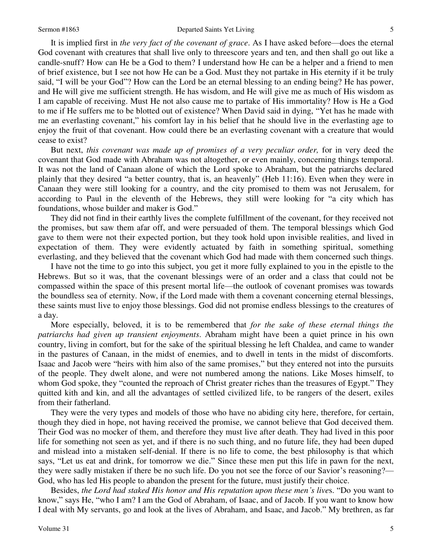It is implied first in *the very fact of the covenant of grace*. As I have asked before—does the eternal God covenant with creatures that shall live only to threescore years and ten, and then shall go out like a candle-snuff? How can He be a God to them? I understand how He can be a helper and a friend to men of brief existence, but I see not how He can be a God. Must they not partake in His eternity if it be truly said, "I will be your God"? How can the Lord be an eternal blessing to an ending being? He has power, and He will give me sufficient strength. He has wisdom, and He will give me as much of His wisdom as I am capable of receiving. Must He not also cause me to partake of His immortality? How is He a God to me if He suffers me to be blotted out of existence? When David said in dying, "Yet has he made with me an everlasting covenant," his comfort lay in his belief that he should live in the everlasting age to enjoy the fruit of that covenant. How could there be an everlasting covenant with a creature that would cease to exist?

 But next, *this covenant was made up of promises of a very peculiar order,* for in very deed the covenant that God made with Abraham was not altogether, or even mainly, concerning things temporal. It was not the land of Canaan alone of which the Lord spoke to Abraham, but the patriarchs declared plainly that they desired "a better country, that is, an heavenly" (Heb 11:16). Even when they were in Canaan they were still looking for a country, and the city promised to them was not Jerusalem, for according to Paul in the eleventh of the Hebrews, they still were looking for "a city which has foundations, whose builder and maker is God."

 They did not find in their earthly lives the complete fulfillment of the covenant, for they received not the promises, but saw them afar off, and were persuaded of them. The temporal blessings which God gave to them were not their expected portion, but they took hold upon invisible realities, and lived in expectation of them. They were evidently actuated by faith in something spiritual, something everlasting, and they believed that the covenant which God had made with them concerned such things.

 I have not the time to go into this subject, you get it more fully explained to you in the epistle to the Hebrews. But so it was, that the covenant blessings were of an order and a class that could not be compassed within the space of this present mortal life—the outlook of covenant promises was towards the boundless sea of eternity. Now, if the Lord made with them a covenant concerning eternal blessings, these saints must live to enjoy those blessings. God did not promise endless blessings to the creatures of a day.

 More especially, beloved, it is to be remembered that *for the sake of these eternal things the patriarchs had given up transient enjoyments*. Abraham might have been a quiet prince in his own country, living in comfort, but for the sake of the spiritual blessing he left Chaldea, and came to wander in the pastures of Canaan, in the midst of enemies, and to dwell in tents in the midst of discomforts. Isaac and Jacob were "heirs with him also of the same promises," but they entered not into the pursuits of the people. They dwelt alone, and were not numbered among the nations. Like Moses himself, to whom God spoke, they "counted the reproach of Christ greater riches than the treasures of Egypt." They quitted kith and kin, and all the advantages of settled civilized life, to be rangers of the desert, exiles from their fatherland.

 They were the very types and models of those who have no abiding city here, therefore, for certain, though they died in hope, not having received the promise, we cannot believe that God deceived them. Their God was no mocker of them, and therefore they must live after death. They had lived in this poor life for something not seen as yet, and if there is no such thing, and no future life, they had been duped and mislead into a mistaken self-denial. If there is no life to come, the best philosophy is that which says, "Let us eat and drink, for tomorrow we die." Since these men put this life in pawn for the next, they were sadly mistaken if there be no such life. Do you not see the force of our Savior's reasoning?— God, who has led His people to abandon the present for the future, must justify their choice.

 Besides, *the Lord had staked His honor and His reputation upon these men's live*s. "Do you want to know," says He, "who I am? I am the God of Abraham, of Isaac, and of Jacob. If you want to know how I deal with My servants, go and look at the lives of Abraham, and Isaac, and Jacob." My brethren, as far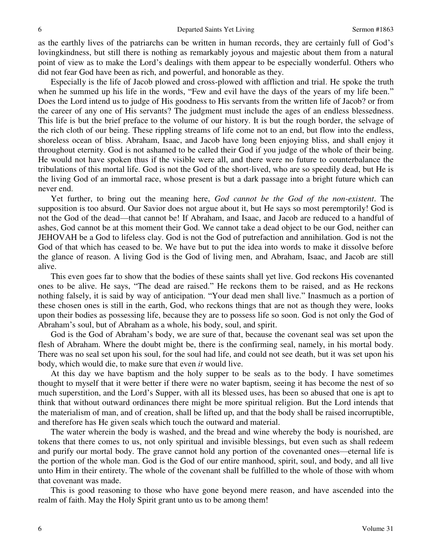as the earthly lives of the patriarchs can be written in human records, they are certainly full of God's lovingkindness, but still there is nothing as remarkably joyous and majestic about them from a natural point of view as to make the Lord's dealings with them appear to be especially wonderful. Others who did not fear God have been as rich, and powerful, and honorable as they.

 Especially is the life of Jacob plowed and cross-plowed with affliction and trial. He spoke the truth when he summed up his life in the words, "Few and evil have the days of the years of my life been." Does the Lord intend us to judge of His goodness to His servants from the written life of Jacob? or from the career of any one of His servants? The judgment must include the ages of an endless blessedness. This life is but the brief preface to the volume of our history. It is but the rough border, the selvage of the rich cloth of our being. These rippling streams of life come not to an end, but flow into the endless, shoreless ocean of bliss. Abraham, Isaac, and Jacob have long been enjoying bliss, and shall enjoy it throughout eternity. God is not ashamed to be called their God if you judge of the whole of their being. He would not have spoken thus if the visible were all, and there were no future to counterbalance the tribulations of this mortal life. God is not the God of the short-lived, who are so speedily dead, but He is the living God of an immortal race, whose present is but a dark passage into a bright future which can never end.

 Yet further, to bring out the meaning here, *God cannot be the God of the non-existent*. The supposition is too absurd. Our Savior does not argue about it, but He says so most peremptorily! God is not the God of the dead—that cannot be! If Abraham, and Isaac, and Jacob are reduced to a handful of ashes, God cannot be at this moment their God. We cannot take a dead object to be our God, neither can JEHOVAH be a God to lifeless clay. God is not the God of putrefaction and annihilation. God is not the God of that which has ceased to be. We have but to put the idea into words to make it dissolve before the glance of reason. A living God is the God of living men, and Abraham, Isaac, and Jacob are still alive.

 This even goes far to show that the bodies of these saints shall yet live. God reckons His covenanted ones to be alive. He says, "The dead are raised." He reckons them to be raised, and as He reckons nothing falsely, it is said by way of anticipation. "Your dead men shall live." Inasmuch as a portion of these chosen ones is still in the earth, God, who reckons things that are not as though they were, looks upon their bodies as possessing life, because they are to possess life so soon. God is not only the God of Abraham's soul, but of Abraham as a whole, his body, soul, and spirit.

 God is the God of Abraham's body, we are sure of that, because the covenant seal was set upon the flesh of Abraham. Where the doubt might be, there is the confirming seal, namely, in his mortal body. There was no seal set upon his soul, for the soul had life, and could not see death, but it was set upon his body, which would die, to make sure that even *it* would live.

 At this day we have baptism and the holy supper to be seals as to the body. I have sometimes thought to myself that it were better if there were no water baptism, seeing it has become the nest of so much superstition, and the Lord's Supper, with all its blessed uses, has been so abused that one is apt to think that without outward ordinances there might be more spiritual religion. But the Lord intends that the materialism of man, and of creation, shall be lifted up, and that the body shall be raised incorruptible, and therefore has He given seals which touch the outward and material.

 The water wherein the body is washed, and the bread and wine whereby the body is nourished, are tokens that there comes to us, not only spiritual and invisible blessings, but even such as shall redeem and purify our mortal body. The grave cannot hold any portion of the covenanted ones—eternal life is the portion of the whole man. God is the God of our entire manhood, spirit, soul, and body, and all live unto Him in their entirety. The whole of the covenant shall be fulfilled to the whole of those with whom that covenant was made.

 This is good reasoning to those who have gone beyond mere reason, and have ascended into the realm of faith. May the Holy Spirit grant unto us to be among them!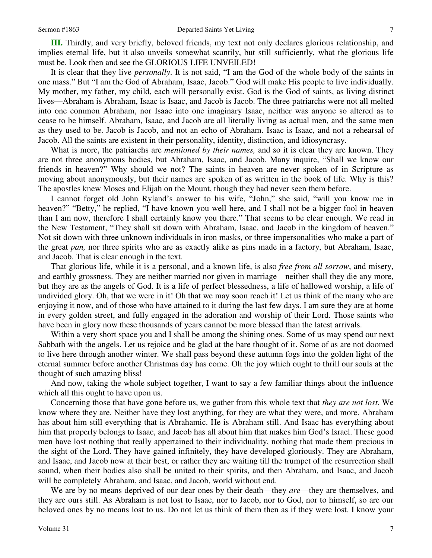**III.** Thirdly, and very briefly, beloved friends, my text not only declares glorious relationship, and implies eternal life, but it also unveils somewhat scantily, but still sufficiently, what the glorious life must be. Look then and see the GLORIOUS LIFE UNVEILED!

 It is clear that they live *personally*. It is not said, "I am the God of the whole body of the saints in one mass." But "I am the God of Abraham, Isaac, Jacob." God will make His people to live individually. My mother, my father, my child, each will personally exist. God is the God of saints, as living distinct lives—Abraham is Abraham, Isaac is Isaac, and Jacob is Jacob. The three patriarchs were not all melted into one common Abraham, nor Isaac into one imaginary Isaac, neither was anyone so altered as to cease to be himself. Abraham, Isaac, and Jacob are all literally living as actual men, and the same men as they used to be. Jacob is Jacob, and not an echo of Abraham. Isaac is Isaac, and not a rehearsal of Jacob. All the saints are existent in their personality, identity, distinction, and idiosyncrasy.

 What is more, the patriarchs are *mentioned by their names,* and so it is clear they are known. They are not three anonymous bodies, but Abraham, Isaac, and Jacob. Many inquire, "Shall we know our friends in heaven?" Why should we not? The saints in heaven are never spoken of in Scripture as moving about anonymously, but their names are spoken of as written in the book of life. Why is this? The apostles knew Moses and Elijah on the Mount, though they had never seen them before.

 I cannot forget old John Ryland's answer to his wife, "John," she said, "will you know me in heaven?" "Betty," he replied, "I have known you well here, and I shall not be a bigger fool in heaven than I am now, therefore I shall certainly know you there." That seems to be clear enough. We read in the New Testament, "They shall sit down with Abraham, Isaac, and Jacob in the kingdom of heaven." Not sit down with three unknown individuals in iron masks, or three impersonalities who make a part of the great *pan,* nor three spirits who are as exactly alike as pins made in a factory, but Abraham, Isaac, and Jacob. That is clear enough in the text.

 That glorious life, while it is a personal, and a known life, is also *free from all sorrow*, and misery, and earthly grossness. They are neither married nor given in marriage—neither shall they die any more, but they are as the angels of God. It is a life of perfect blessedness, a life of hallowed worship, a life of undivided glory. Oh, that we were in it! Oh that we may soon reach it! Let us think of the many who are enjoying it now, and of those who have attained to it during the last few days. I am sure they are at home in every golden street, and fully engaged in the adoration and worship of their Lord. Those saints who have been in glory now these thousands of years cannot be more blessed than the latest arrivals.

Within a very short space you and I shall be among the shining ones. Some of us may spend our next Sabbath with the angels. Let us rejoice and be glad at the bare thought of it. Some of as are not doomed to live here through another winter. We shall pass beyond these autumn fogs into the golden light of the eternal summer before another Christmas day has come. Oh the joy which ought to thrill our souls at the thought of such amazing bliss!

 And now, taking the whole subject together, I want to say a few familiar things about the influence which all this ought to have upon us.

Concerning those that have gone before us, we gather from this whole text that *they are not lost*. We know where they are. Neither have they lost anything, for they are what they were, and more. Abraham has about him still everything that is Abrahamic. He is Abraham still. And Isaac has everything about him that properly belongs to Isaac, and Jacob has all about him that makes him God's Israel. These good men have lost nothing that really appertained to their individuality, nothing that made them precious in the sight of the Lord. They have gained infinitely, they have developed gloriously. They are Abraham, and Isaac, and Jacob now at their best, or rather they are waiting till the trumpet of the resurrection shall sound, when their bodies also shall be united to their spirits, and then Abraham, and Isaac, and Jacob will be completely Abraham, and Isaac, and Jacob, world without end.

 We are by no means deprived of our dear ones by their death—they *are*—they are themselves, and they are ours still. As Abraham is not lost to Isaac, nor to Jacob, nor to God, nor to himself, so are our beloved ones by no means lost to us. Do not let us think of them then as if they were lost. I know your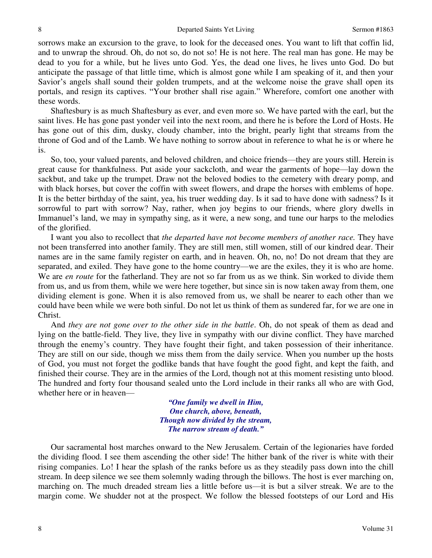sorrows make an excursion to the grave, to look for the deceased ones. You want to lift that coffin lid, and to unwrap the shroud. Oh, do not so, do not so! He is not here. The real man has gone. He may be dead to you for a while, but he lives unto God. Yes, the dead one lives, he lives unto God. Do but anticipate the passage of that little time, which is almost gone while I am speaking of it, and then your Savior's angels shall sound their golden trumpets, and at the welcome noise the grave shall open its portals, and resign its captives. "Your brother shall rise again." Wherefore, comfort one another with these words.

 Shaftesbury is as much Shaftesbury as ever, and even more so. We have parted with the earl, but the saint lives. He has gone past yonder veil into the next room, and there he is before the Lord of Hosts. He has gone out of this dim, dusky, cloudy chamber, into the bright, pearly light that streams from the throne of God and of the Lamb. We have nothing to sorrow about in reference to what he is or where he is.

 So, too, your valued parents, and beloved children, and choice friends—they are yours still. Herein is great cause for thankfulness. Put aside your sackcloth, and wear the garments of hope—lay down the sackbut, and take up the trumpet. Draw not the beloved bodies to the cemetery with dreary pomp, and with black horses, but cover the coffin with sweet flowers, and drape the horses with emblems of hope. It is the better birthday of the saint, yea, his truer wedding day. Is it sad to have done with sadness? Is it sorrowful to part with sorrow? Nay, rather, when joy begins to our friends, where glory dwells in Immanuel's land, we may in sympathy sing, as it were, a new song, and tune our harps to the melodies of the glorified.

 I want you also to recollect that *the departed have not become members of another race.* They have not been transferred into another family. They are still men, still women, still of our kindred dear. Their names are in the same family register on earth, and in heaven. Oh, no, no! Do not dream that they are separated, and exiled. They have gone to the home country—we are the exiles, they it is who are home. We are *en route* for the fatherland. They are not so far from us as we think. Sin worked to divide them from us, and us from them, while we were here together, but since sin is now taken away from them, one dividing element is gone. When it is also removed from us, we shall be nearer to each other than we could have been while we were both sinful. Do not let us think of them as sundered far, for we are one in Christ.

 And *they are not gone over to the other side in the battle*. Oh, do not speak of them as dead and lying on the battle-field. They live, they live in sympathy with our divine conflict. They have marched through the enemy's country. They have fought their fight, and taken possession of their inheritance. They are still on our side, though we miss them from the daily service. When you number up the hosts of God, you must not forget the godlike bands that have fought the good fight, and kept the faith, and finished their course. They are in the armies of the Lord, though not at this moment resisting unto blood. The hundred and forty four thousand sealed unto the Lord include in their ranks all who are with God, whether here or in heaven—

> *"One family we dwell in Him, One church, above, beneath, Though now divided by the stream, The narrow stream of death."*

 Our sacramental host marches onward to the New Jerusalem. Certain of the legionaries have forded the dividing flood. I see them ascending the other side! The hither bank of the river is white with their rising companies. Lo! I hear the splash of the ranks before us as they steadily pass down into the chill stream. In deep silence we see them solemnly wading through the billows. The host is ever marching on, marching on. The much dreaded stream lies a little before us—it is but a silver streak. We are to the margin come. We shudder not at the prospect. We follow the blessed footsteps of our Lord and His